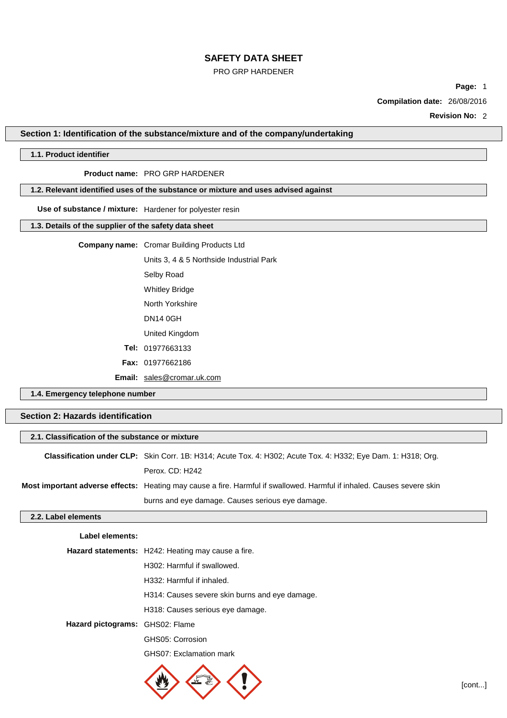#### PRO GRP HARDENER

**Page:** 1

**Compilation date:** 26/08/2016

**Revision No:** 2

**Section 1: Identification of the substance/mixture and of the company/undertaking**

## **1.1. Product identifier**

## **Product name:** PRO GRP HARDENER

## **1.2. Relevant identified uses of the substance or mixture and uses advised against**

## **Use of substance / mixture:** Hardener for polyester resin

## **1.3. Details of the supplier of the safety data sheet**

## **Company name:** Cromar Building Products Ltd

Units 3, 4 & 5 Northside Industrial Park Selby Road Whitley Bridge North Yorkshire

DN14 0GH

United Kingdom

- **Tel:** 01977663133
- **Fax:** 01977662186

**Email:** [sales@cromar.uk.com](mailto:sales@cromar.uk.com)

**1.4. Emergency telephone number**

## **Section 2: Hazards identification**

| 2.1. Classification of the substance or mixture |                                                                                                                        |  |
|-------------------------------------------------|------------------------------------------------------------------------------------------------------------------------|--|
|                                                 | <b>Classification under CLP:</b> Skin Corr. 1B: H314; Acute Tox. 4: H302; Acute Tox. 4: H332; Eye Dam. 1: H318; Org.   |  |
|                                                 | Perox. CD: H242                                                                                                        |  |
|                                                 | Most important adverse effects: Heating may cause a fire. Harmful if swallowed. Harmful if inhaled. Causes severe skin |  |
|                                                 | burns and eye damage. Causes serious eye damage.                                                                       |  |
| 2.2. Label elements                             |                                                                                                                        |  |

#### **Label elements:**

|                                 | Hazard statements: H242: Heating may cause a fire. |
|---------------------------------|----------------------------------------------------|
|                                 | H <sub>302</sub> : Harmful if swallowed.           |
|                                 | H332: Harmful if inhaled.                          |
|                                 | H314: Causes severe skin burns and eye damage.     |
|                                 | H318: Causes serious eye damage.                   |
| Hazard pictograms: GHS02: Flame |                                                    |
|                                 | GHS05: Corrosion                                   |
|                                 | GHS07: Exclamation mark                            |
|                                 |                                                    |

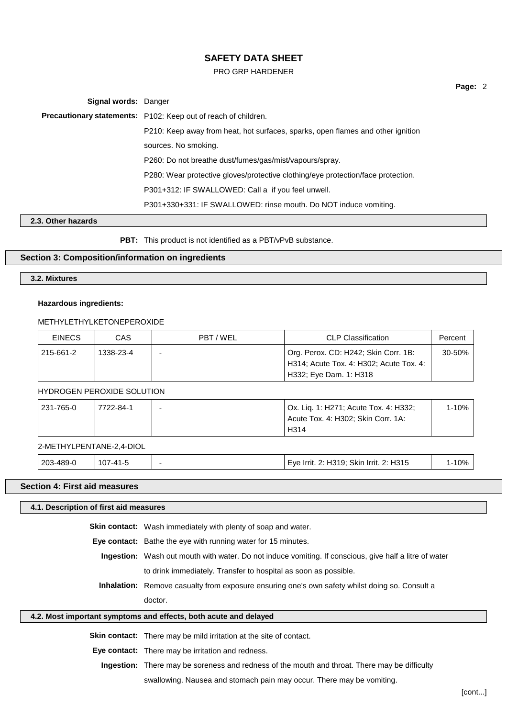#### PRO GRP HARDENER

**Signal words:** Danger **Precautionary statements:** P102: Keep out of reach of children. P210: Keep away from heat, hot surfaces, sparks, open flames and other ignition sources. No smoking. P260: Do not breathe dust/fumes/gas/mist/vapours/spray. P280: Wear protective gloves/protective clothing/eye protection/face protection. P301+312: IF SWALLOWED: Call a if you feel unwell. P301+330+331: IF SWALLOWED: rinse mouth. Do NOT induce vomiting.

## **2.3. Other hazards**

**PBT:** This product is not identified as a PBT/vPvB substance.

### **Section 3: Composition/information on ingredients**

## **3.2. Mixtures**

#### **Hazardous ingredients:**

## METHYLETHYLKETONEPEROXIDE

| <b>EINECS</b> | CAS       | PBT/WEL | CLP Classification                      | Percent |
|---------------|-----------|---------|-----------------------------------------|---------|
| 215-661-2     | 1338-23-4 |         | Org. Perox. CD: H242; Skin Corr. 1B:    | 30-50%  |
|               |           |         | H314; Acute Tox. 4: H302; Acute Tox. 4: |         |
|               |           |         | H332; Eye Dam. 1: H318                  |         |

### HYDROGEN PEROXIDE SOLUTION

| 231-765-0 | 7722-84-1 | - | Ox. Liq. 1: H271; Acute Tox. 4: H332; | 1-10% |
|-----------|-----------|---|---------------------------------------|-------|
|           |           |   | Acute Tox. 4: H302; Skin Corr. 1A:    |       |
|           |           |   | H314                                  |       |
|           |           |   |                                       |       |

#### 2-METHYLPENTANE-2,4-DIOL

| 203-489-0 | بـ741-7<br>ט. |  | . 2: H315<br>Skin Irrit.<br>2: H319:<br>Trrit. 2:<br>ьvе | 10% |
|-----------|---------------|--|----------------------------------------------------------|-----|
|-----------|---------------|--|----------------------------------------------------------|-----|

#### **Section 4: First aid measures**

#### **4.1. Description of first aid measures**

**Skin contact:** Wash immediately with plenty of soap and water.

**Eye contact:** Bathe the eye with running water for 15 minutes.

**Ingestion:** Wash out mouth with water. Do not induce vomiting. If conscious, give half a litre of water to drink immediately. Transfer to hospital as soon as possible.

**Inhalation:** Remove casualty from exposure ensuring one's own safety whilst doing so. Consult a doctor.

#### **4.2. Most important symptoms and effects, both acute and delayed**

**Skin contact:** There may be mild irritation at the site of contact.

**Eye contact:** There may be irritation and redness.

**Ingestion:** There may be soreness and redness of the mouth and throat. There may be difficulty

swallowing. Nausea and stomach pain may occur. There may be vomiting.

**Page:** 2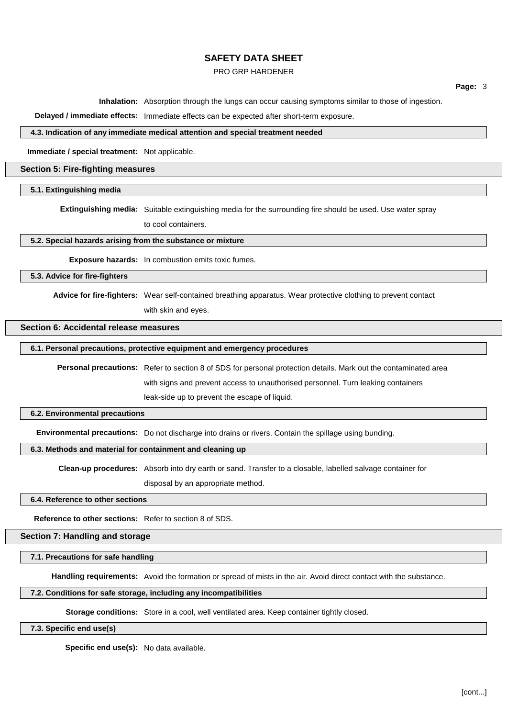#### PRO GRP HARDENER

**Page:** 3

**Inhalation:** Absorption through the lungs can occur causing symptoms similar to those of ingestion.

**Delayed / immediate effects:** Immediate effects can be expected after short-term exposure.

#### **4.3. Indication of any immediate medical attention and special treatment needed**

**Immediate / special treatment:** Not applicable.

## **Section 5: Fire-fighting measures**

## **5.1. Extinguishing media**

**Extinguishing media:** Suitable extinguishing media for the surrounding fire should be used. Use water spray

to cool containers.

#### **5.2. Special hazards arising from the substance or mixture**

**Exposure hazards:** In combustion emits toxic fumes.

## **5.3. Advice for fire-fighters**

**Advice for fire-fighters:** Wear self-contained breathing apparatus. Wear protective clothing to prevent contact with skin and eyes.

#### **Section 6: Accidental release measures**

#### **6.1. Personal precautions, protective equipment and emergency procedures**

**Personal precautions:** Refer to section 8 of SDS for personal protection details. Mark out the contaminated area with signs and prevent access to unauthorised personnel. Turn leaking containers leak-side up to prevent the escape of liquid.

#### **6.2. Environmental precautions**

**Environmental precautions:** Do not discharge into drains or rivers. Contain the spillage using bunding.

#### **6.3. Methods and material for containment and cleaning up**

**Clean-up procedures:** Absorb into dry earth or sand. Transfer to a closable, labelled salvage container for

disposal by an appropriate method.

#### **6.4. Reference to other sections**

**Reference to other sections:** Refer to section 8 of SDS.

**Section 7: Handling and storage**

#### **7.1. Precautions for safe handling**

**Handling requirements:** Avoid the formation or spread of mists in the air. Avoid direct contact with the substance.

#### **7.2. Conditions for safe storage, including any incompatibilities**

**Storage conditions:** Store in a cool, well ventilated area. Keep container tightly closed.

**7.3. Specific end use(s)**

**Specific end use(s):** No data available.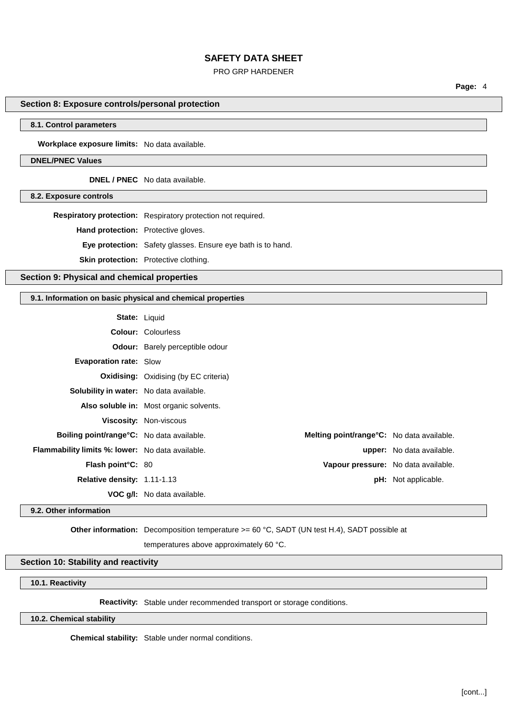### PRO GRP HARDENER

**Page:** 4

## **Section 8: Exposure controls/personal protection**

## **8.1. Control parameters**

**Workplace exposure limits:** No data available.

#### **DNEL/PNEC Values**

**DNEL / PNEC** No data available.

### **8.2. Exposure controls**

**Respiratory protection:** Respiratory protection not required.

**Hand protection:** Protective gloves.

**Eye protection:** Safety glasses. Ensure eye bath is to hand.

**Skin protection:** Protective clothing.

## **Section 9: Physical and chemical properties**

## **9.1. Information on basic physical and chemical properties**

| <b>State: Liquid</b>                                    |                                                   |                                  |
|---------------------------------------------------------|---------------------------------------------------|----------------------------------|
|                                                         |                                                   |                                  |
|                                                         | <b>Colour: Colourless</b>                         |                                  |
|                                                         | <b>Odour:</b> Barely perceptible odour            |                                  |
| <b>Evaporation rate: Slow</b>                           |                                                   |                                  |
|                                                         | <b>Oxidising:</b> Oxidising (by EC criteria)      |                                  |
| <b>Solubility in water:</b> No data available.          |                                                   |                                  |
|                                                         | Also soluble in: Most organic solvents.           |                                  |
|                                                         | <b>Viscosity: Non-viscous</b>                     |                                  |
| <b>Boiling point/range °C:</b> No data available.       | <b>Melting point/range °C:</b> No data available. |                                  |
| <b>Flammability limits %: lower:</b> No data available. |                                                   | <b>upper:</b> No data available. |
| Flash point°C: 80                                       | Vapour pressure: No data available.               |                                  |
| Relative density: 1.11-1.13                             |                                                   | <b>pH:</b> Not applicable.       |
|                                                         | <b>VOC g/l:</b> No data available.                |                                  |

## **9.2. Other information**

**Other information:** Decomposition temperature  $>= 60 °C$ , SADT (UN test H.4), SADT possible at

temperatures above approximately 60 °C.

#### **Section 10: Stability and reactivity**

## **10.1. Reactivity**

**Reactivity:** Stable under recommended transport or storage conditions.

## **10.2. Chemical stability**

**Chemical stability:** Stable under normal conditions.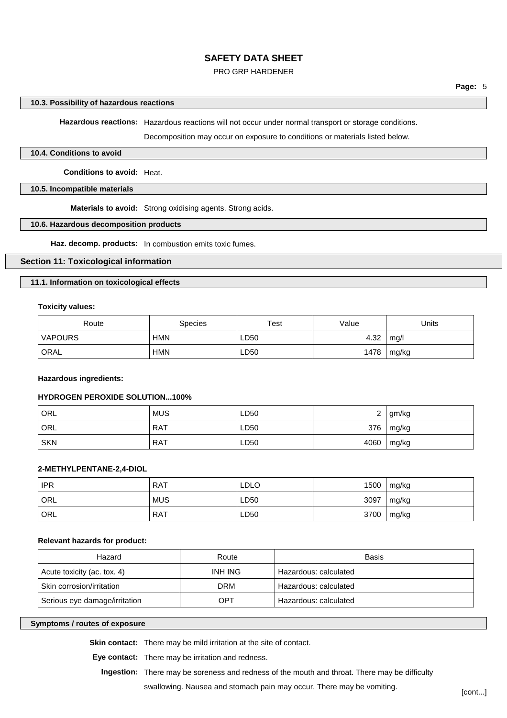### PRO GRP HARDENER

#### **10.3. Possibility of hazardous reactions**

**Hazardous reactions:** Hazardous reactions will not occur under normal transport or storage conditions.

Decomposition may occur on exposure to conditions or materials listed below.

#### **10.4. Conditions to avoid**

**Conditions to avoid:** Heat.

#### **10.5. Incompatible materials**

**Materials to avoid:** Strong oxidising agents. Strong acids.

### **10.6. Hazardous decomposition products**

**Haz. decomp. products:** In combustion emits toxic fumes.

## **Section 11: Toxicological information**

#### **11.1. Information on toxicological effects**

**Toxicity values:**

| Route          | <b>Species</b> | Test | Value | Units |
|----------------|----------------|------|-------|-------|
| <b>VAPOURS</b> | <b>HMN</b>     | LD50 | 4.32  | mq/l  |
| ' ORAL         | <b>HMN</b>     | ∟D50 | 1478  | mg/kg |

**Hazardous ingredients:**

## **HYDROGEN PEROXIDE SOLUTION...100%**

| ' ORL      | <b>MUS</b> | LD50 | <u>_</u> | gm/kg     |
|------------|------------|------|----------|-----------|
| ' ORL      | <b>RAT</b> | LD50 |          | 376 mg/kg |
| <b>SKN</b> | <b>RAT</b> | LD50 | 4060     | mg/kg     |

#### **2-METHYLPENTANE-2,4-DIOL**

| <b>IPR</b> | <b>RAT</b> | <b>LDLO</b> | 1500 | mg/kg |
|------------|------------|-------------|------|-------|
| ORL        | <b>MUS</b> | LD50        | 3097 | mg/kg |
| ORL        | <b>RAT</b> | LD50        | 3700 | mg/kg |

#### **Relevant hazards for product:**

| Hazard                        | Route   | Basis                 |
|-------------------------------|---------|-----------------------|
| Acute toxicity (ac. tox. 4)   | INH ING | Hazardous: calculated |
| Skin corrosion/irritation     | DRM     | Hazardous: calculated |
| Serious eye damage/irritation | OPT     | Hazardous: calculated |

### **Symptoms / routes of exposure**

**Skin contact:** There may be mild irritation at the site of contact.

**Eye contact:** There may be irritation and redness.

**Ingestion:** There may be soreness and redness of the mouth and throat. There may be difficulty

swallowing. Nausea and stomach pain may occur. There may be vomiting. [cont...]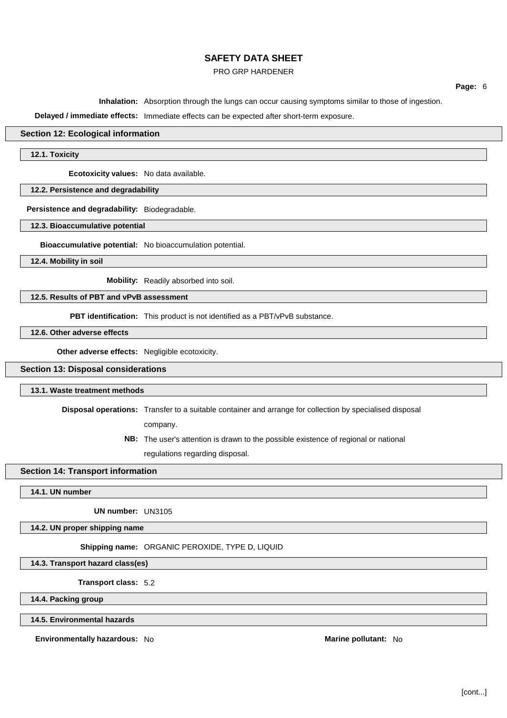### PRO GRP HARDENER

**Page:** 6

**Inhalation:** Absorption through the lungs can occur causing symptoms similar to those of ingestion.

**Delayed / immediate effects:** Immediate effects can be expected after short-term exposure.

## **Section 12: Ecological information**

**12.1. Toxicity**

**Ecotoxicity values:** No data available.

**12.2. Persistence and degradability**

**Persistence and degradability:** Biodegradable.

**12.3. Bioaccumulative potential**

**Bioaccumulative potential:** No bioaccumulation potential.

**12.4. Mobility in soil**

**Mobility:** Readily absorbed into soil.

## **12.5. Results of PBT and vPvB assessment**

**PBT identification:** This product is not identified as a PBT/vPvB substance.

**12.6. Other adverse effects**

**Other adverse effects:** Negligible ecotoxicity.

## **Section 13: Disposal considerations**

### **13.1. Waste treatment methods**

**Disposal operations:** Transfer to a suitable container and arrange for collection by specialised disposal

company.

**NB:** The user's attention is drawn to the possible existence of regional or national

regulations regarding disposal.

## **Section 14: Transport information**

**14.1. UN number**

**UN number:** UN3105

**14.2. UN proper shipping name**

**Shipping name:** ORGANIC PEROXIDE, TYPE D, LIQUID

**14.3. Transport hazard class(es)**

**Transport class:** 5.2

**14.4. Packing group**

**14.5. Environmental hazards**

**Environmentally hazardous:** No **Marine Marine pollutant:** No **Marine Marine Marine Marine pollutant:** No